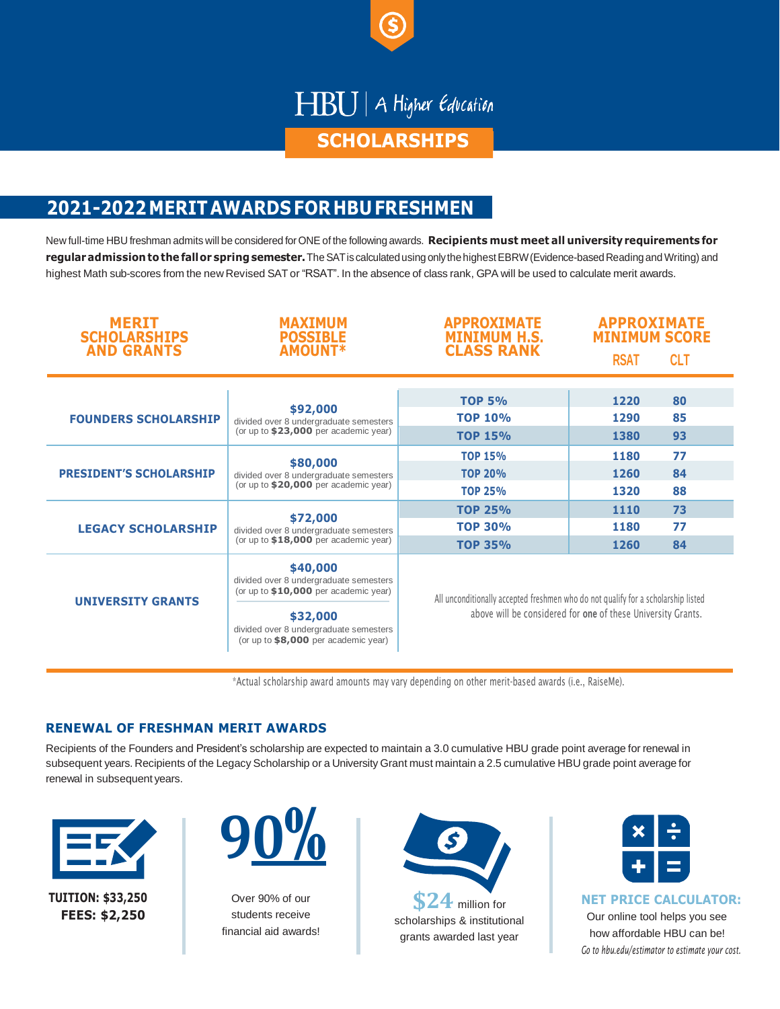

# HBU | A Higher Education

### **SCHOLARSHIPS**

## **2021-2022MERITAWARDS FOR HBU FRESHMEN**

New full-time HBU freshman admits will be considered for ONE of the following awards. **Recipients must meet all universityrequirements for regularadmission tothe fallor springsemester.**TheSATis calculatedusing onlythehighestEBRW(Evidence-basedReadingand Writing) and highest Math sub-scores from the new Revised SAT or "RSAT". In the absence of class rank, GPA will be used to calculate merit awards.

| <b>MERIT</b><br><b>SCHOLARSHIPS</b><br><b>AND GRANTS</b> | <b>MAXIMUM</b><br><b>POSSIBLE</b><br><b>AMOUNT*</b>                                                                                                                                        | <b>APPROXIMATE</b><br><b>MINIMUM H.S.</b><br><b>CLASS RANK</b>                                                                                    | <b>APPROXIMATE</b><br><b>MINIMUM SCORE</b> |
|----------------------------------------------------------|--------------------------------------------------------------------------------------------------------------------------------------------------------------------------------------------|---------------------------------------------------------------------------------------------------------------------------------------------------|--------------------------------------------|
|                                                          |                                                                                                                                                                                            |                                                                                                                                                   | <b>RSAT</b><br><b>CLT</b>                  |
|                                                          |                                                                                                                                                                                            |                                                                                                                                                   |                                            |
| <b>FOUNDERS SCHOLARSHIP</b>                              | \$92,000<br>divided over 8 undergraduate semesters<br>(or up to \$23,000 per academic year)                                                                                                | <b>TOP 5%</b><br>TOP 10%                                                                                                                          | 1220<br>80<br>85<br>1290                   |
|                                                          |                                                                                                                                                                                            | <b>TOP 15%</b>                                                                                                                                    | 93<br>1380                                 |
| <b>PRESIDENT'S SCHOLARSHIP</b>                           | \$80,000<br>divided over 8 undergraduate semesters<br>(or up to \$20,000 per academic year)                                                                                                | <b>TOP 15%</b>                                                                                                                                    | 77<br>1180                                 |
|                                                          |                                                                                                                                                                                            | <b>TOP 20%</b>                                                                                                                                    | 84<br>1260                                 |
|                                                          |                                                                                                                                                                                            | <b>TOP 25%</b>                                                                                                                                    | 1320<br>88                                 |
| <b>LEGACY SCHOLARSHIP</b>                                | \$72,000<br>divided over 8 undergraduate semesters<br>(or up to \$18,000 per academic year)                                                                                                | <b>TOP 25%</b>                                                                                                                                    | 73<br>1110                                 |
|                                                          |                                                                                                                                                                                            | <b>TOP 30%</b>                                                                                                                                    | 77<br>1180                                 |
|                                                          |                                                                                                                                                                                            | <b>TOP 35%</b>                                                                                                                                    | 84<br>1260                                 |
| <b>UNIVERSITY GRANTS</b>                                 | \$40,000<br>divided over 8 undergraduate semesters<br>(or up to \$10,000 per academic year)<br>\$32,000<br>divided over 8 undergraduate semesters<br>(or up to $$8,000$ per academic year) | All unconditionally accepted freshmen who do not qualify for a scholarship listed<br>above will be considered for one of these University Grants. |                                            |

\*Actual scholarship award amounts may vary depending on other merit-based awards (i.e., RaiseMe).

### **RENEWAL OF FRESHMAN MERIT AWARDS**

Recipients of the Founders and President's scholarship are expected to maintain a 3.0 cumulative HBU grade point average for renewal in subsequent years. Recipients of the Legacy Scholarship or a University Grant must maintain a 2.5 cumulative HBU grade point average for renewal in subsequent years.





Over 90% of our students receive financial aid awards!



scholarships & institutional grants awarded last year



**NET PRICE CALCULATOR:**

Our online tool helps you see how affordable HBU can be! *Go to hbu.edu/estimator to estimate your cost.*